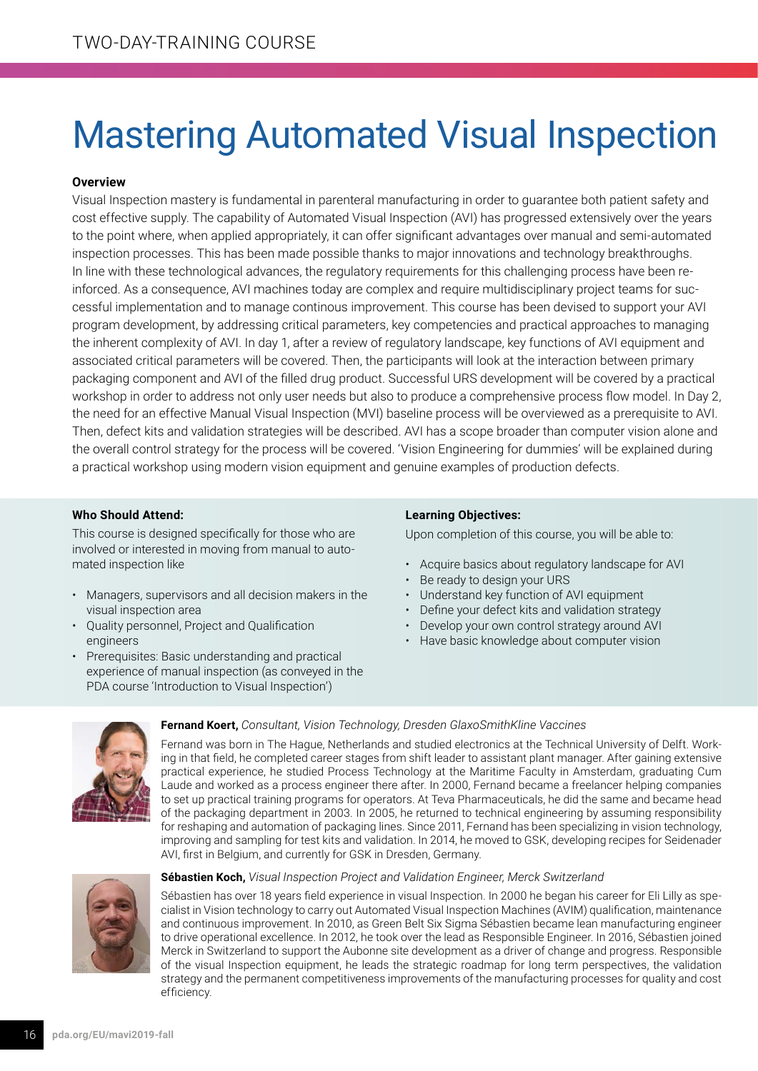# Mastering Automated Visual Inspection

# **Overview**

Visual Inspection mastery is fundamental in parenteral manufacturing in order to guarantee both patient safety and cost effective supply. The capability of Automated Visual Inspection (AVI) has progressed extensively over the years to the point where, when applied appropriately, it can offer significant advantages over manual and semi-automated inspection processes. This has been made possible thanks to major innovations and technology breakthroughs. In line with these technological advances, the regulatory requirements for this challenging process have been reinforced. As a consequence, AVI machines today are complex and require multidisciplinary project teams for successful implementation and to manage continous improvement. This course has been devised to support your AVI program development, by addressing critical parameters, key competencies and practical approaches to managing the inherent complexity of AVI. In day 1, after a review of regulatory landscape, key functions of AVI equipment and associated critical parameters will be covered. Then, the participants will look at the interaction between primary packaging component and AVI of the filled drug product. Successful URS development will be covered by a practical workshop in order to address not only user needs but also to produce a comprehensive process flow model. In Day 2, the need for an effective Manual Visual Inspection (MVI) baseline process will be overviewed as a prerequisite to AVI. Then, defect kits and validation strategies will be described. AVI has a scope broader than computer vision alone and the overall control strategy for the process will be covered. 'Vision Engineering for dummies' will be explained during a practical workshop using modern vision equipment and genuine examples of production defects.

# **Who Should Attend:**

This course is designed specifically for those who are involved or interested in moving from manual to automated inspection like

- Managers, supervisors and all decision makers in the visual inspection area
- Quality personnel, Project and Qualification engineers
- Prerequisites: Basic understanding and practical experience of manual inspection (as conveyed in the PDA course 'Introduction to Visual Inspection')

## **Learning Objectives:**

Upon completion of this course, you will be able to:

- Acquire basics about regulatory landscape for AVI
- Be ready to design your URS
- Understand key function of AVI equipment
- Define your defect kits and validation strategy
- Develop your own control strategy around AVI
- Have basic knowledge about computer vision



#### **Fernand Koert,** *Consultant, Vision Technology, Dresden GlaxoSmithKline Vaccines*

Fernand was born in The Hague, Netherlands and studied electronics at the Technical University of Delft. Working in that field, he completed career stages from shift leader to assistant plant manager. After gaining extensive practical experience, he studied Process Technology at the Maritime Faculty in Amsterdam, graduating Cum Laude and worked as a process engineer there after. In 2000, Fernand became a freelancer helping companies to set up practical training programs for operators. At Teva Pharmaceuticals, he did the same and became head of the packaging department in 2003. In 2005, he returned to technical engineering by assuming responsibility for reshaping and automation of packaging lines. Since 2011, Fernand has been specializing in vision technology, improving and sampling for test kits and validation. In 2014, he moved to GSK, developing recipes for Seidenader AVI, first in Belgium, and currently for GSK in Dresden, Germany.



#### **Sébastien Koch,** *Visual Inspection Project and Validation Engineer, Merck Switzerland*

Sébastien has over 18 years field experience in visual Inspection. In 2000 he began his career for Eli Lilly as specialist in Vision technology to carry out Automated Visual Inspection Machines (AVIM) qualification, maintenance and continuous improvement. In 2010, as Green Belt Six Sigma Sébastien became lean manufacturing engineer to drive operational excellence. In 2012, he took over the lead as Responsible Engineer. In 2016, Sébastien joined Merck in Switzerland to support the Aubonne site development as a driver of change and progress. Responsible of the visual Inspection equipment, he leads the strategic roadmap for long term perspectives, the validation strategy and the permanent competitiveness improvements of the manufacturing processes for quality and cost efficiency.